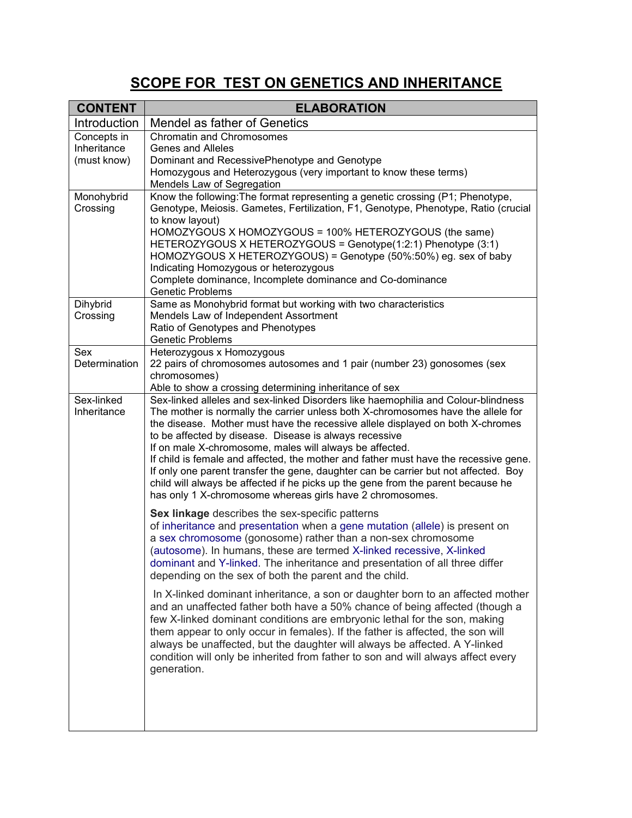## **SCOPE FOR TEST ON GENETICS AND INHERITANCE**

| <b>CONTENT</b>            | <b>ELABORATION</b>                                                                                                                                                                                                                                                                                                                                                                                                                                                                                                                                                                                                                                                                                           |
|---------------------------|--------------------------------------------------------------------------------------------------------------------------------------------------------------------------------------------------------------------------------------------------------------------------------------------------------------------------------------------------------------------------------------------------------------------------------------------------------------------------------------------------------------------------------------------------------------------------------------------------------------------------------------------------------------------------------------------------------------|
| Introduction              | Mendel as father of Genetics                                                                                                                                                                                                                                                                                                                                                                                                                                                                                                                                                                                                                                                                                 |
| Concepts in               | <b>Chromatin and Chromosomes</b>                                                                                                                                                                                                                                                                                                                                                                                                                                                                                                                                                                                                                                                                             |
| Inheritance               | <b>Genes and Alleles</b>                                                                                                                                                                                                                                                                                                                                                                                                                                                                                                                                                                                                                                                                                     |
| (must know)               | Dominant and RecessivePhenotype and Genotype                                                                                                                                                                                                                                                                                                                                                                                                                                                                                                                                                                                                                                                                 |
|                           | Homozygous and Heterozygous (very important to know these terms)<br>Mendels Law of Segregation                                                                                                                                                                                                                                                                                                                                                                                                                                                                                                                                                                                                               |
| Monohybrid                | Know the following: The format representing a genetic crossing (P1; Phenotype,                                                                                                                                                                                                                                                                                                                                                                                                                                                                                                                                                                                                                               |
| Crossing                  | Genotype, Meiosis. Gametes, Fertilization, F1, Genotype, Phenotype, Ratio (crucial<br>to know layout)<br>HOMOZYGOUS X HOMOZYGOUS = 100% HETEROZYGOUS (the same)<br>HETEROZYGOUS X HETEROZYGOUS = Genotype(1:2:1) Phenotype (3:1)<br>HOMOZYGOUS X HETEROZYGOUS) = Genotype (50%:50%) eg. sex of baby<br>Indicating Homozygous or heterozygous<br>Complete dominance, Incomplete dominance and Co-dominance<br><b>Genetic Problems</b>                                                                                                                                                                                                                                                                         |
| Dihybrid                  | Same as Monohybrid format but working with two characteristics                                                                                                                                                                                                                                                                                                                                                                                                                                                                                                                                                                                                                                               |
| Crossing                  | Mendels Law of Independent Assortment                                                                                                                                                                                                                                                                                                                                                                                                                                                                                                                                                                                                                                                                        |
|                           | Ratio of Genotypes and Phenotypes<br><b>Genetic Problems</b>                                                                                                                                                                                                                                                                                                                                                                                                                                                                                                                                                                                                                                                 |
| Sex                       | Heterozygous x Homozygous                                                                                                                                                                                                                                                                                                                                                                                                                                                                                                                                                                                                                                                                                    |
| Determination             | 22 pairs of chromosomes autosomes and 1 pair (number 23) gonosomes (sex                                                                                                                                                                                                                                                                                                                                                                                                                                                                                                                                                                                                                                      |
|                           | chromosomes)                                                                                                                                                                                                                                                                                                                                                                                                                                                                                                                                                                                                                                                                                                 |
|                           | Able to show a crossing determining inheritance of sex                                                                                                                                                                                                                                                                                                                                                                                                                                                                                                                                                                                                                                                       |
| Sex-linked<br>Inheritance | Sex-linked alleles and sex-linked Disorders like haemophilia and Colour-blindness<br>The mother is normally the carrier unless both X-chromosomes have the allele for<br>the disease. Mother must have the recessive allele displayed on both X-chromes<br>to be affected by disease. Disease is always recessive<br>If on male X-chromosome, males will always be affected.<br>If child is female and affected, the mother and father must have the recessive gene.<br>If only one parent transfer the gene, daughter can be carrier but not affected. Boy<br>child will always be affected if he picks up the gene from the parent because he<br>has only 1 X-chromosome whereas girls have 2 chromosomes. |
|                           | Sex linkage describes the sex-specific patterns<br>of inheritance and presentation when a gene mutation (allele) is present on<br>a sex chromosome (gonosome) rather than a non-sex chromosome<br>(autosome). In humans, these are termed X-linked recessive, X-linked<br>dominant and Y-linked. The inheritance and presentation of all three differ<br>depending on the sex of both the parent and the child.                                                                                                                                                                                                                                                                                              |
|                           | In X-linked dominant inheritance, a son or daughter born to an affected mother<br>and an unaffected father both have a 50% chance of being affected (though a<br>few X-linked dominant conditions are embryonic lethal for the son, making<br>them appear to only occur in females). If the father is affected, the son will<br>always be unaffected, but the daughter will always be affected. A Y-linked<br>condition will only be inherited from father to son and will always affect every<br>generation.                                                                                                                                                                                                |
|                           |                                                                                                                                                                                                                                                                                                                                                                                                                                                                                                                                                                                                                                                                                                              |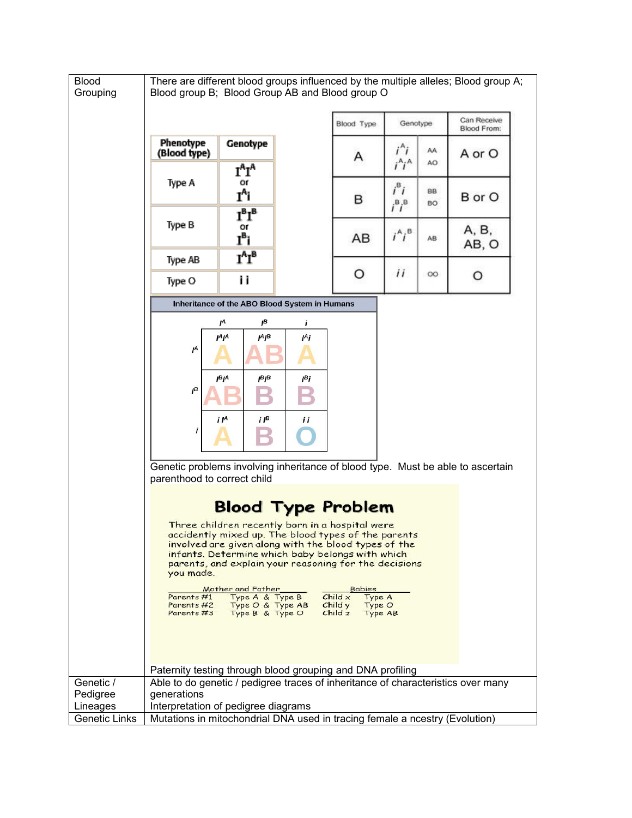| <b>Blood</b><br>Grouping | There are different blood groups influenced by the multiple alleles; Blood group A;<br>Blood group B; Blood Group AB and Blood group O                                                                                                                                                   |                                       |                  |          |                                                     |                            |        |  |  |
|--------------------------|------------------------------------------------------------------------------------------------------------------------------------------------------------------------------------------------------------------------------------------------------------------------------------------|---------------------------------------|------------------|----------|-----------------------------------------------------|----------------------------|--------|--|--|
|                          |                                                                                                                                                                                                                                                                                          |                                       | Blood Type       | Genotype |                                                     | Can Receive<br>Blood From: |        |  |  |
|                          | Phenotype<br>(Blood type)                                                                                                                                                                                                                                                                | Genotype                              |                  | Α        | i^i<br>$i^A i^A$                                    | AA<br>AO                   | A or O |  |  |
|                          | Type A                                                                                                                                                                                                                                                                                   | $I^A I^A$<br>Οſ<br>I <sup>A</sup> i   |                  | в        | $i^{\mathsf{B}}i$<br>$i^{\mathsf{B}}i^{\mathsf{B}}$ | 88<br><b>BO</b>            | B or O |  |  |
|                          | Type B                                                                                                                                                                                                                                                                                   | $I^B I^B$<br>or<br>I <sup>B</sup> i   |                  | AB       | $i^A i^B$                                           | AB                         | A, B,  |  |  |
|                          | Type AB                                                                                                                                                                                                                                                                                  | $I^A I^B$                             |                  |          |                                                     |                            | AB, O  |  |  |
|                          | Type O                                                                                                                                                                                                                                                                                   | i i                                   |                  | O        | ii                                                  | OO.                        | O      |  |  |
|                          | Inheritance of the ABO Blood System in Humans                                                                                                                                                                                                                                            |                                       |                  |          |                                                     |                            |        |  |  |
|                          |                                                                                                                                                                                                                                                                                          | $I^A$<br>ıв                           | i                |          |                                                     |                            |        |  |  |
|                          | $\mathbf{r}$                                                                                                                                                                                                                                                                             | $I^A$ $I^A$<br>JΑ β                   | Ι <sup>Α</sup> i |          |                                                     |                            |        |  |  |
|                          | $I^B$                                                                                                                                                                                                                                                                                    | Ι <sup>Β</sup> Ι <sup>Α</sup><br> B B | lBi              |          |                                                     |                            |        |  |  |
|                          |                                                                                                                                                                                                                                                                                          | $i \, I^B$<br>i IA                    | İΙ               |          |                                                     |                            |        |  |  |
|                          | Genetic problems involving inheritance of blood type. Must be able to ascertain<br>parenthood to correct child                                                                                                                                                                           |                                       |                  |          |                                                     |                            |        |  |  |
|                          | <b>Blood Type Problem</b>                                                                                                                                                                                                                                                                |                                       |                  |          |                                                     |                            |        |  |  |
|                          | Three children recently born in a hospital were<br>accidently mixed up. The blood types of the parents<br>involved are given along with the blood types of the<br>infants. Determine which baby belongs with which<br>parents, and explain your reasoning for the decisions<br>you made. |                                       |                  |          |                                                     |                            |        |  |  |
|                          | Mother and Father<br><b>Babies</b><br>Type A & Type B<br>Child x<br>Type A<br>Parents #1<br>Type O & Type AB Childy<br>Parents #2<br>Type O<br>Parents #3 Type B & Type O<br>Child z<br>Type AB                                                                                          |                                       |                  |          |                                                     |                            |        |  |  |
|                          | Paternity testing through blood grouping and DNA profiling                                                                                                                                                                                                                               |                                       |                  |          |                                                     |                            |        |  |  |
| Genetic /<br>Pedigree    | Able to do genetic / pedigree traces of inheritance of characteristics over many<br>generations                                                                                                                                                                                          |                                       |                  |          |                                                     |                            |        |  |  |
| Lineages                 | Interpretation of pedigree diagrams                                                                                                                                                                                                                                                      |                                       |                  |          |                                                     |                            |        |  |  |
| Genetic Links            | Mutations in mitochondrial DNA used in tracing female a ncestry (Evolution)                                                                                                                                                                                                              |                                       |                  |          |                                                     |                            |        |  |  |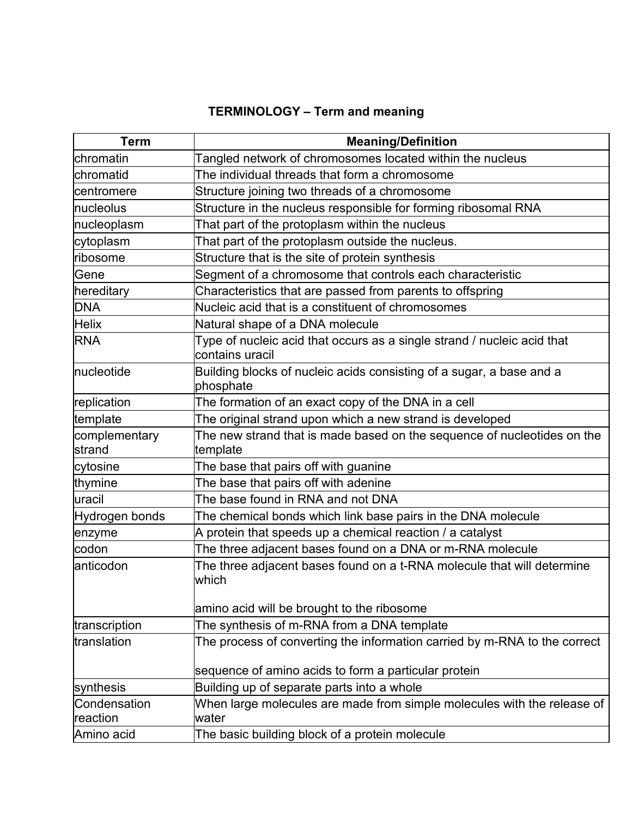## **TERMINOLOGY – Term and meaning**

| <b>Term</b>       | <b>Meaning/Definition</b>                                                                  |
|-------------------|--------------------------------------------------------------------------------------------|
| <b>Ichromatin</b> | Tangled network of chromosomes located within the nucleus                                  |
| lchromatid        | The individual threads that form a chromosome                                              |
| centromere        | Structure joining two threads of a chromosome                                              |
| Inucleolus        | Structure in the nucleus responsible for forming ribosomal RNA                             |
| nucleoplasm       | That part of the protoplasm within the nucleus                                             |
| cytoplasm         | That part of the protoplasm outside the nucleus.                                           |
| ribosome          | Structure that is the site of protein synthesis                                            |
| <b>Gene</b>       | Segment of a chromosome that controls each characteristic                                  |
| hereditary        | Characteristics that are passed from parents to offspring                                  |
| <b>DNA</b>        | Nucleic acid that is a constituent of chromosomes                                          |
| Helix             | Natural shape of a DNA molecule                                                            |
| <b>RNA</b>        | Type of nucleic acid that occurs as a single strand / nucleic acid that<br>contains uracil |
| nucleotide        | Building blocks of nucleic acids consisting of a sugar, a base and a<br>phosphate          |
| replication       | The formation of an exact copy of the DNA in a cell                                        |
| template          | The original strand upon which a new strand is developed                                   |
| complementary     | The new strand that is made based on the sequence of nucleotides on the                    |
| strand            | template                                                                                   |
| cytosine          | The base that pairs off with guanine                                                       |
| thymine           | The base that pairs off with adenine                                                       |
| uracil            | The base found in RNA and not DNA                                                          |
| Hydrogen bonds    | The chemical bonds which link base pairs in the DNA molecule                               |
| enzyme            | A protein that speeds up a chemical reaction / a catalyst                                  |
| codon             | The three adjacent bases found on a DNA or m-RNA molecule                                  |
| anticodon         | The three adjacent bases found on a t-RNA molecule that will determine<br>which            |
|                   | amino acid will be brought to the ribosome                                                 |
| transcription     | The synthesis of m-RNA from a DNA template                                                 |
| translation       | The process of converting the information carried by m-RNA to the correct                  |
|                   | sequence of amino acids to form a particular protein                                       |
| synthesis         | Building up of separate parts into a whole                                                 |
| Condensation      | When large molecules are made from simple molecules with the release of                    |
| reaction          | water                                                                                      |
| Amino acid        | The basic building block of a protein molecule                                             |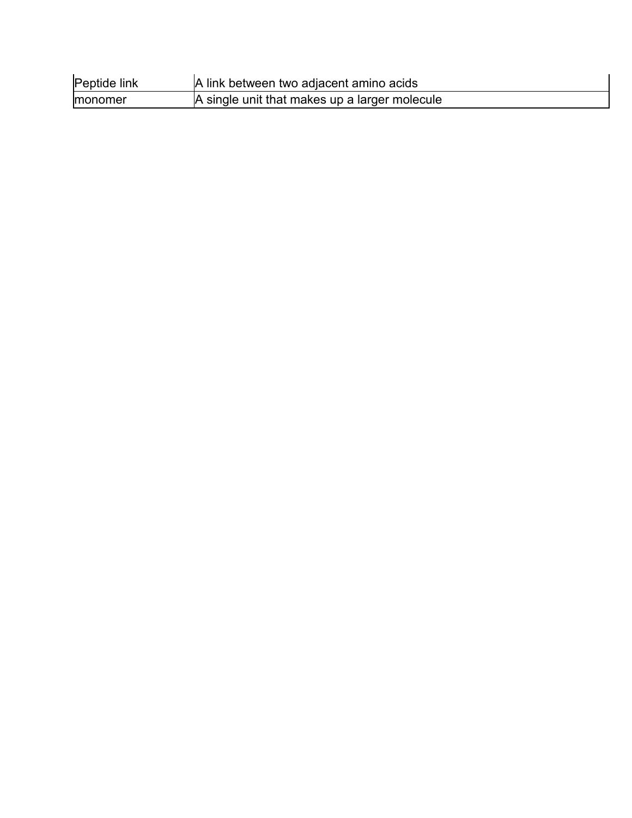| Peptide link    | A link between two adjacent amino acids       |
|-----------------|-----------------------------------------------|
| <b>Imonomer</b> | A single unit that makes up a larger molecule |